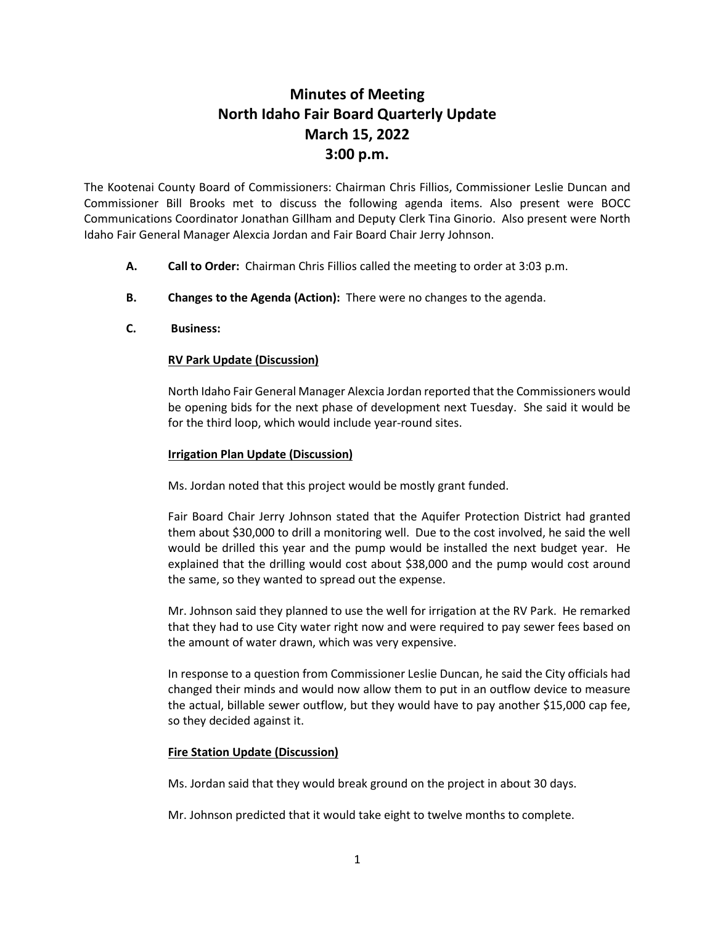# **Minutes of Meeting North Idaho Fair Board Quarterly Update March 15, 2022 3:00 p.m.**

The Kootenai County Board of Commissioners: Chairman Chris Fillios, Commissioner Leslie Duncan and Commissioner Bill Brooks met to discuss the following agenda items. Also present were BOCC Communications Coordinator Jonathan Gillham and Deputy Clerk Tina Ginorio. Also present were North Idaho Fair General Manager Alexcia Jordan and Fair Board Chair Jerry Johnson.

- **A. Call to Order:** Chairman Chris Fillios called the meeting to order at 3:03 p.m.
- **B. Changes to the Agenda (Action):** There were no changes to the agenda.
- **C. Business:**

# **RV Park Update (Discussion)**

North Idaho Fair General Manager Alexcia Jordan reported that the Commissioners would be opening bids for the next phase of development next Tuesday. She said it would be for the third loop, which would include year-round sites.

### **Irrigation Plan Update (Discussion)**

Ms. Jordan noted that this project would be mostly grant funded.

Fair Board Chair Jerry Johnson stated that the Aquifer Protection District had granted them about \$30,000 to drill a monitoring well. Due to the cost involved, he said the well would be drilled this year and the pump would be installed the next budget year. He explained that the drilling would cost about \$38,000 and the pump would cost around the same, so they wanted to spread out the expense.

Mr. Johnson said they planned to use the well for irrigation at the RV Park. He remarked that they had to use City water right now and were required to pay sewer fees based on the amount of water drawn, which was very expensive.

In response to a question from Commissioner Leslie Duncan, he said the City officials had changed their minds and would now allow them to put in an outflow device to measure the actual, billable sewer outflow, but they would have to pay another \$15,000 cap fee, so they decided against it.

### **Fire Station Update (Discussion)**

Ms. Jordan said that they would break ground on the project in about 30 days.

Mr. Johnson predicted that it would take eight to twelve months to complete.